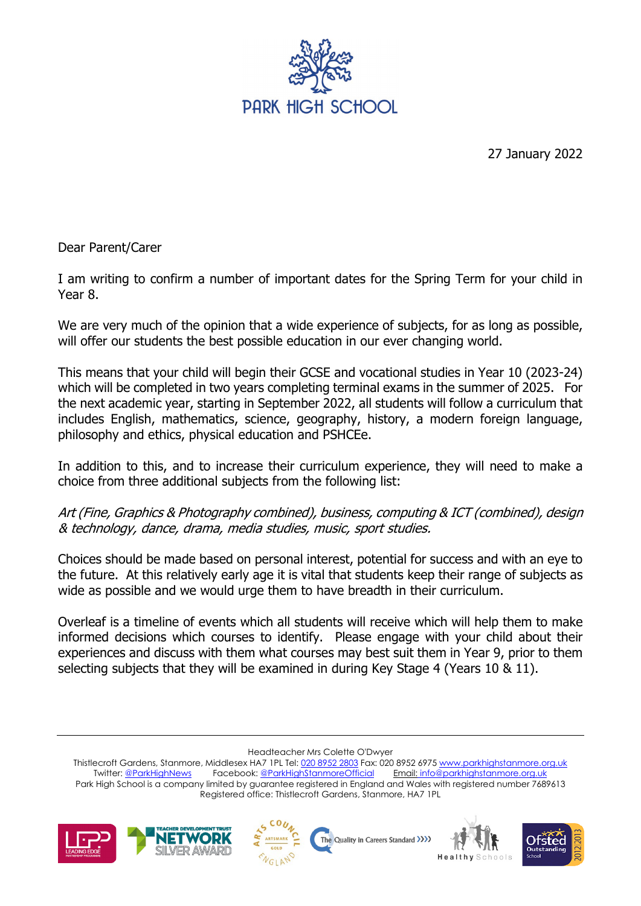

27 January 2022

Dear Parent/Carer

I am writing to confirm a number of important dates for the Spring Term for your child in Year 8.

We are very much of the opinion that a wide experience of subjects, for as long as possible, will offer our students the best possible education in our ever changing world.

This means that your child will begin their GCSE and vocational studies in Year 10 (2023-24) which will be completed in two years completing terminal exams in the summer of 2025. For the next academic year, starting in September 2022, all students will follow a curriculum that includes English, mathematics, science, geography, history, a modern foreign language, philosophy and ethics, physical education and PSHCEe.

In addition to this, and to increase their curriculum experience, they will need to make a choice from three additional subjects from the following list:

## Art (Fine, Graphics & Photography combined), business, computing & ICT (combined), design & technology, dance, drama, media studies, music, sport studies.

Choices should be made based on personal interest, potential for success and with an eye to the future. At this relatively early age it is vital that students keep their range of subjects as wide as possible and we would urge them to have breadth in their curriculum.

Overleaf is a timeline of events which all students will receive which will help them to make informed decisions which courses to identify. Please engage with your child about their experiences and discuss with them what courses may best suit them in Year 9, prior to them selecting subjects that they will be examined in during Key Stage 4 (Years 10 & 11).

Headteacher Mrs Colette O'Dwyer

Thistlecroft Gardens, Stanmore, Middlesex HA7 1PL Tel[: 020 8952 2803](file://phs-apps-06/Digital$/Templates/020%208952%202803) Fax: 020 8952 6975 [www.parkhighstanmore.org.uk](file://phs-apps-06/Digital$/Templates/www.parkhighstanmore.org.uk)<br>Twitter: @ParkHighNews Facebook: @ParkHighStanmoreOfficial Email: info@parkhighstanmore.org.uk Twitter: [@ParkHighNews](https://twitter.com/ParkHighNews) Facebook: @ParkHighStanmoreOfficial Park High School is a company limited by guarantee registered in England and Wales with registered number 7689613 Registered office: Thistlecroft Gardens, Stanmore, HA7 1PL